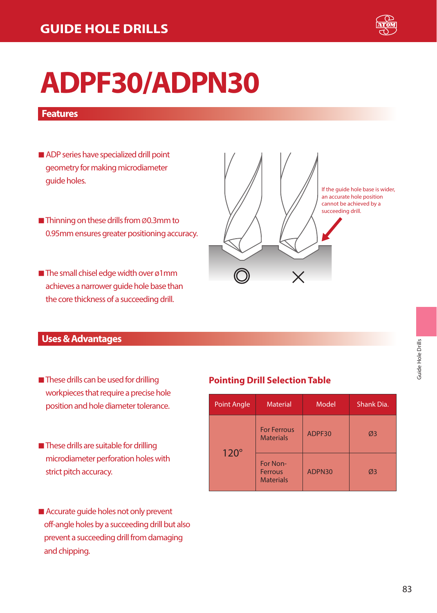

# **ADPF30/ADPN30**

#### **Features**

- ADP series have specialized drill point geometry for making microdiameter guide holes.
- Thinning on these drills from Ø0.3mm to 0.95mm ensures greater positioning accuracy.
- The small chisel edge width over ø1mm achieves a narrower guide hole base than the core thickness of a succeeding drill.

# If the guide hole base is wider, an accurate hole position cannot be achieved by a succeeding drill.

#### **Uses & Advantages**

- These drills can be used for drilling workpieces that require a precise hole position and hole diameter tolerance.
- These drills are suitable for drilling microdiameter perforation holes with strict pitch accuracy.
- Accurate quide holes not only prevent off-angle holes by a succeeding drill but also prevent a succeeding drill from damaging and chipping.

#### **Pointing Drill Selection Table**

| <b>Point Angle</b> | <b>Material</b>                                | Model  | Shank Dia. |  |  |
|--------------------|------------------------------------------------|--------|------------|--|--|
|                    | <b>For Ferrous</b><br><b>Materials</b>         | ADPF30 | Ø3         |  |  |
| $120^\circ$        | For Non-<br><b>Ferrous</b><br><b>Materials</b> | ADPN30 | Ø3         |  |  |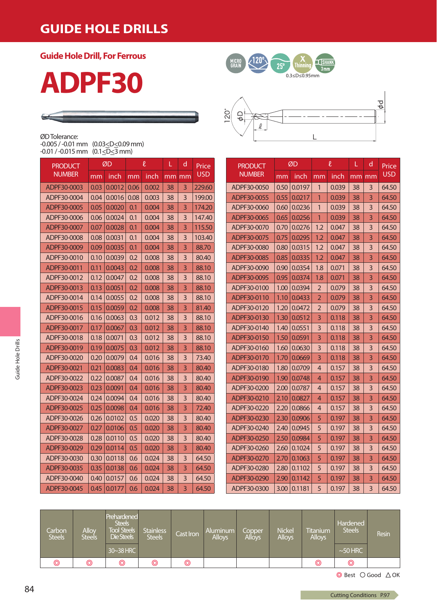### **GUIDE HOLE DRILLS**

**Guide Hole Drill, For Ferrous**

### ØD Tolerance:

|                                                           | -0.005 / -0.01 mm (0.03 <d<0.09 mm)<="" th=""></d<0.09> |
|-----------------------------------------------------------|---------------------------------------------------------|
| -0.01 / -0.015 mm (0.1 <d<3 mm)<="" td=""><td></td></d<3> |                                                         |

| <b>PRODUCT</b> |      | ØD     | l<br>inch<br>mm |       |    |    | d<br>L     |  | Price |
|----------------|------|--------|-----------------|-------|----|----|------------|--|-------|
| <b>NUMBER</b>  | mm   | inch   |                 |       | mm | mm | <b>USD</b> |  |       |
| ADPF30-0003    | 0.03 | 0.0012 | 0.06            | 0.002 | 38 | 3  | 229.60     |  |       |
| ADPF30-0004    | 0.04 | 0.0016 | 0.08            | 0.003 | 38 | 3  | 199.00     |  |       |
| ADPF30-0005    | 0.05 | 0.0020 | 0.1             | 0.004 | 38 | 3  | 174.20     |  |       |
| ADPF30-0006    | 0.06 | 0.0024 | 0.1             | 0.004 | 38 | 3  | 147.40     |  |       |
| ADPF30-0007    | 0.07 | 0.0028 | 0.1             | 0.004 | 38 | 3  | 115.50     |  |       |
| ADPF30-0008    | 0.08 | 0.0031 | 0.1             | 0.004 | 38 | 3  | 103.40     |  |       |
| ADPF30-0009    | 0.09 | 0.0035 | 0.1             | 0.004 | 38 | 3  | 88.70      |  |       |
| ADPF30-0010    | 0.10 | 0.0039 | 0.2             | 0.008 | 38 | 3  | 80.40      |  |       |
| ADPF30-0011    | 0.11 | 0.0043 | 0.2             | 0.008 | 38 | 3  | 88.10      |  |       |
| ADPF30-0012    | 0.12 | 0.0047 | 0.2             | 0.008 | 38 | 3  | 88.10      |  |       |
| ADPF30-0013    | 0.13 | 0.0051 | 0.2             | 0.008 | 38 | 3  | 88.10      |  |       |
| ADPF30-0014    | 0.14 | 0.0055 | 0.2             | 0.008 | 38 | 3  | 88.10      |  |       |
| ADPF30-0015    | 0.15 | 0.0059 | 0.2             | 0.008 | 38 | 3  | 81.40      |  |       |
| ADPF30-0016    | 0.16 | 0.0063 | 0.3             | 0.012 | 38 | 3  | 88.10      |  |       |
| ADPF30-0017    | 0.17 | 0.0067 | 0.3             | 0.012 | 38 | 3  | 88.10      |  |       |
| ADPF30-0018    | 0.18 | 0.0071 | 0.3             | 0.012 | 38 | 3  | 88.10      |  |       |
| ADPF30-0019    | 0.19 | 0.0075 | 0.3             | 0.012 | 38 | 3  | 88.10      |  |       |
| ADPF30-0020    | 0.20 | 0.0079 | 0.4             | 0.016 | 38 | 3  | 73.40      |  |       |
| ADPF30-0021    | 0.21 | 0.0083 | 0.4             | 0.016 | 38 | 3  | 80.40      |  |       |
| ADPF30-0022    | 0.22 | 0.0087 | 0.4             | 0.016 | 38 | 3  | 80.40      |  |       |
| ADPF30-0023    | 0.23 | 0.0091 | 0.4             | 0.016 | 38 | 3  | 80.40      |  |       |
| ADPF30-0024    | 0.24 | 0.0094 | 0.4             | 0.016 | 38 | 3  | 80.40      |  |       |
| ADPF30-0025    | 0.25 | 0.0098 | 0.4             | 0.016 | 38 | 3  | 72.40      |  |       |
| ADPF30-0026    | 0.26 | 0.0102 | 0.5             | 0.020 | 38 | 3  | 80.40      |  |       |
| ADPF30-0027    | 0.27 | 0.0106 | 0.5             | 0.020 | 38 | 3  | 80.40      |  |       |
| ADPF30-0028    | 0.28 | 0.0110 | 0.5             | 0.020 | 38 | 3  | 80.40      |  |       |
| ADPF30-0029    | 0.29 | 0.0114 | 0.5             | 0.020 | 38 | 3  | 80.40      |  |       |
| ADPF30-0030    | 0.30 | 0.0118 | 0.6             | 0.024 | 38 | 3  | 64.50      |  |       |
| ADPF30-0035    | 0.35 | 0.0138 | 0.6             | 0.024 | 38 | 3  | 64.50      |  |       |
| ADPF30-0040    | 0.40 | 0.0157 | 0.6             | 0.024 | 38 | 3  | 64.50      |  |       |
| ADPF30-0045    | 0.45 | 0.0177 | 0.6             | 0.024 | 38 | 3  | 64.50      |  |       |





| <b>PRODUCT</b> | ØD   |        |                | $\ell$ | L  | d  | Price      |
|----------------|------|--------|----------------|--------|----|----|------------|
| <b>NUMBER</b>  | mm   | inch   | mm             | inch   | mm | mm | <b>USD</b> |
| ADPF30-0050    | 0.50 | 0.0197 | 1              | 0.039  | 38 | 3  | 64.50      |
| ADPF30-0055    | 0.55 | 0.0217 | 1              | 0.039  | 38 | 3  | 64.50      |
| ADPF30-0060    | 0.60 | 0.0236 | 1              | 0.039  | 38 | 3  | 64.50      |
| ADPF30-0065    | 0.65 | 0.0256 | 1              | 0.039  | 38 | 3  | 64.50      |
| ADPF30-0070    | 0.70 | 0.0276 | 1.2            | 0.047  | 38 | 3  | 64.50      |
| ADPF30-0075    | 0.75 | 0.0295 | 1.2            | 0.047  | 38 | 3  | 64.50      |
| ADPF30-0080    | 0.80 | 0.0315 | 1.2            | 0.047  | 38 | 3  | 64.50      |
| ADPF30-0085    | 0.85 | 0.0335 | 1.2            | 0.047  | 38 | 3  | 64.50      |
| ADPF30-0090    | 0.90 | 0.0354 | 1.8            | 0.071  | 38 | 3  | 64.50      |
| ADPF30-0095    | 0.95 | 0.0374 | 1.8            | 0.071  | 38 | 3  | 64.50      |
| ADPF30-0100    | 1.00 | 0.0394 | $\overline{2}$ | 0.079  | 38 | 3  | 64.50      |
| ADPF30-0110    | 1.10 | 0.0433 | $\overline{2}$ | 0.079  | 38 | 3  | 64.50      |
| ADPF30-0120    | 1.20 | 0.0472 | $\overline{2}$ | 0.079  | 38 | 3  | 64.50      |
| ADPF30-0130    | 1.30 | 0.0512 | 3              | 0.118  | 38 | 3  | 64.50      |
| ADPF30-0140    | 1.40 | 0.0551 | 3              | 0.118  | 38 | 3  | 64.50      |
| ADPF30-0150    | 1.50 | 0.0591 | 3              | 0.118  | 38 | 3  | 64.50      |
| ADPF30-0160    | 1.60 | 0.0630 | 3              | 0.118  | 38 | 3  | 64.50      |
| ADPF30-0170    | 1.70 | 0.0669 | $\overline{3}$ | 0.118  | 38 | 3  | 64.50      |
| ADPF30-0180    | 1.80 | 0.0709 | 4              | 0.157  | 38 | 3  | 64.50      |
| ADPF30-0190    | 1.90 | 0.0748 | 4              | 0.157  | 38 | 3  | 64.50      |
| ADPF30-0200    | 2.00 | 0.0787 | 4              | 0.157  | 38 | 3  | 64.50      |
| ADPF30-0210    | 2.10 | 0.0827 | 4              | 0.157  | 38 | 3  | 64.50      |
| ADPF30-0220    | 2.20 | 0.0866 | 4              | 0.157  | 38 | 3  | 64.50      |
| ADPF30-0230    | 2.30 | 0.0906 | 5              | 0.197  | 38 | 3  | 64.50      |
| ADPF30-0240    | 2.40 | 0.0945 | 5              | 0.197  | 38 | 3  | 64.50      |
| ADPF30-0250    | 2.50 | 0.0984 | 5              | 0.197  | 38 | 3  | 64.50      |
| ADPF30-0260    | 2.60 | 0.1024 | 5              | 0.197  | 38 | 3  | 64.50      |
| ADPF30-0270    | 2.70 | 0.1063 | 5              | 0.197  | 38 | 3  | 64.50      |
| ADPF30-0280    | 2.80 | 0.1102 | 5              | 0.197  | 38 | 3  | 64.50      |
| ADPF30-0290    | 2.90 | 0.1142 | 5              | 0.197  | 38 | 3  | 64.50      |
| ADPF30-0300    | 3.00 | 0.1181 | 5              | 0.197  | 38 | 3  | 64.50      |

| Carbon<br><b>Steels</b> | Alloy<br>Steels | Prehardened<br><b>Steels</b><br><b>Tool Steels</b><br><b>Die Steels</b><br>30~38 HRC | <b>Stainless</b><br><b>Steels</b> | Cast Iron      | Aluminum<br><b>Alloys</b> | Copper<br><b>Alloys</b> | <b>Nickel</b><br><b>Alloys</b> | Titanium<br><b>Alloys</b> | Hardened<br><b>Steels</b><br>$\sim$ 50 HRC | <b>Resin</b> |
|-------------------------|-----------------|--------------------------------------------------------------------------------------|-----------------------------------|----------------|---------------------------|-------------------------|--------------------------------|---------------------------|--------------------------------------------|--------------|
| $\circledcirc$          | ◎               | ◎                                                                                    | ◎                                 | $\circledcirc$ |                           |                         |                                | ◎                         | ©                                          |              |

 $\textcircled{\texttt{Best}} \ \bigcirc \text{Good} \ \triangle \text{OK}$